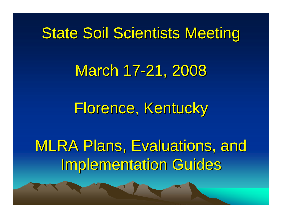## State Soil Scientists Meeting

#### March 17-21, 2008

#### Florence, Kentucky

# MLRA Plans, Evaluations, and Implementation Guides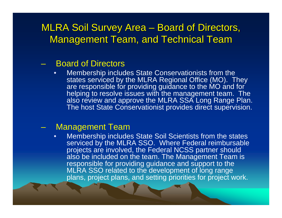#### MLRA Soil Survey Area ·  $\mathcal{L}_{\mathcal{A}}$ - Board of Directors, Management Team, and Technical Team

#### $\mathcal{L}_{\mathcal{A}}$ Board of Directors

• Membership includes State Conservationists from the states serviced by the MLRA Regional Office (MO). They are responsible for providing guidance to the MO and for helping to resolve issues with the management team. The also review and approve the MLRA SSA Long Range Plan. The host State Conservationist provides direct supervision.

#### Management Team

• Membership includes State Soil Scientists from the states serviced by the MLRA SSO. Where Federal reimbursable projects are involved, the Federal NCSS partner should also be included on the team. The Management Team is responsible for providing guidance and support to the MLRA SSO related to the development of long range plans, project plans, and setting priorities for project work.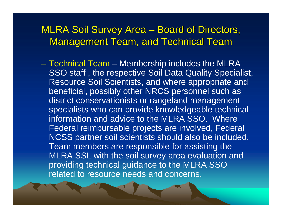#### MLRA Soil Survey Area ·  $\mathcal{L}_{\mathcal{A}}$ - Board of Directors, Management Team, and Technical Team

– Technical Team – Membership includes the MLRA SSO staff , the respective Soil Data Quality Specialist, Resource Soil Scientists, and where appropriate and beneficial, possibly other NRCS personnel such as district conservationists or rangeland management specialists who can provide knowledgeable technical information and advice to the MLRA SSO. Where Federal reimbursable projects are involved, Federal NCSS partner soil scientists should also be included. Team members are responsible for assisting the MLRA SSL with the soil survey area evaluation and providing technical guidance to the MLRA SSO related to resource needs and concerns.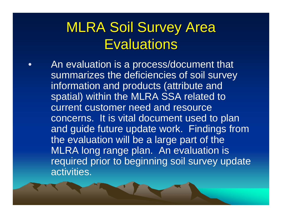#### **MLRA Soil Survey Area Evaluations**

 $\bullet$  An evaluation is a process/document that summarizes the deficiencies of soil survey information and products (attribute and spatial) within the MLRA SSA related to current customer need and resource concerns. It is vital document used to plan and guide future update work. Findings from the evaluation will be a large part of the MLRA long range plan. An evaluation is required prior to beginning soil survey update activities.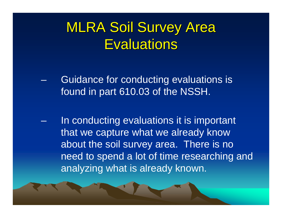#### **MLRA Soil Survey Area Evaluations**

- Guidance for conducting evaluations is found in part 610.03 of the NSSH.
- In conducting evaluations it is important that we capture what we already know about the soil survey area. There is no need to spend a lot of time researching and analyzing what is already known.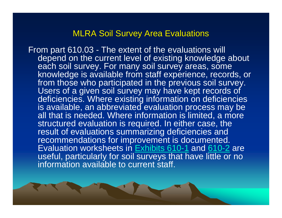#### **MLRA Soil Survey Area Evaluations**

From part 610.03 - The extent of the evaluations will depend on the current level of existing knowledge about each soil survey. For many soil survey areas, some knowledge is available from staff experience, records, or from those who participated in the previous soil survey. Users of a given soil survey may have kept records of deficiencies. Where existing information on deficiencies is available, an abbreviated evaluation process may be all that is needed. Where information is limited, a more structured evaluation is required. In either case, the result of evaluations summarizing deficiencies and recommendations for improvement is documented. Evaluation worksheets in Exhibits 610-1 and 610-2 are useful, particularly for soil surveys that have little or no information available to current staff.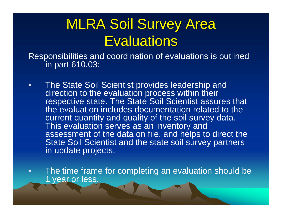#### **MLRA Soil Survey Area Evaluations**

Responsibilities and coordination of evaluations is outlined in part 610.03:

- • The State Soil Scientist provides leadership and direction to the evaluation process within their respective state. The State Soil Scientist assures that the evaluation includes documentation related to the current quantity and quality of the soil survey data. This evaluation serves as an inventory and assessment of the data on file, and helps to direct the State Soil Scientist and the state soil survey partners in update projects.
- • The time frame for completing an evaluation should be 1 year or less.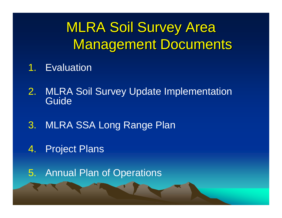## **MLRA Soil Survey Area Management Documents**

- 1.Evaluation
- 2. MLRA Soil Survey Update Implementation Guide
- 3. MLRA SSA Long Range Plan
- 4.Project Plans
- 5. Annual Plan of Operations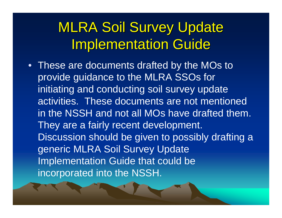### **MLRA Soil Survey Update Implementation Guide**

• These are documents drafted by the MOs to provide guidance to the MLRA SSOs for initiating and conducting soil survey update activities. These documents are not mentioned in the NSSH and not all MOs have drafted them. They are a fairly recent development. Discussion should be given to possibly drafting a generic MLRA Soil Survey Update Implementation Guide that could be incorporated into the NSSH.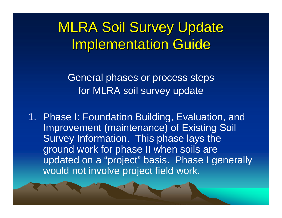**MLRA Soil Survey Update Implementation Guide** 

General phases or process steps for MLRA soil survey update

1. Phase I: Foundation Building, Evaluation, and Improvement (maintenance) of Existing Soil Survey Information. This phase lays the ground work for phase II when soils are updated on a "project" basis. Phase I generally would not involve project field work.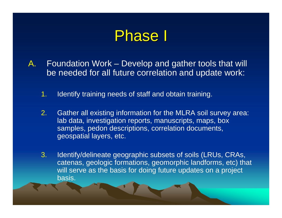- A. Foundation Work – Develop and gather tools that will be needed for all future correlation and update work:
	- 1.Identify training needs of staff and obtain training.
	- 2. Gather all existing information for the MLRA soil survey area: lab data, investigation reports, manuscripts, maps, box samples, pedon descriptions, correlation documents, geospatial layers, etc.
	- 3. Identify/delineate geographic subsets of soils (LRUs, CRAs, catenas, geologic formations, geomorphic landforms, etc) that will serve as the basis for doing future updates on a project basis.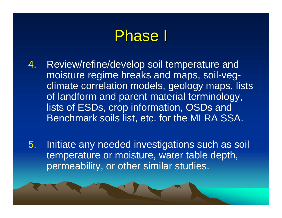- 4. Review/refine/develop soil temperature and moisture regime breaks and maps, soil-vegclimate correlation models, geology maps, lists of landform and parent material terminology, lists of ESDs, crop information, OSDs and Benchmark soils list, etc. for the MLRA SSA.
- 5. Initiate any needed investigations such as soil temperature or moisture, water table depth, permeability, or other similar studies.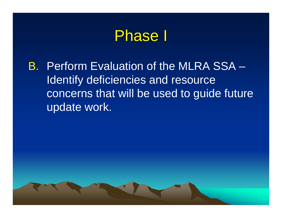B. Perform Evaluation of the MLRA SSA – Identify deficiencies and resource concerns that will be used to guide future update work.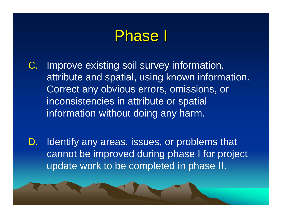- C. Improve existing soil survey information, attribute and spatial, using known information. Correct any obvious errors, omissions, or inconsistencies in attribute or spatial information without doing any harm.
- D. Identify any areas, issues, or problems that cannot be improved during phase I for project update work to be completed in phase II.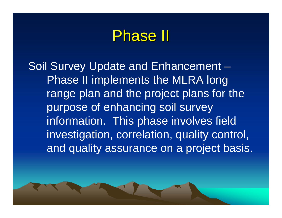Soil Survey Update and Enhancement – Phase II implements the MLRA long range plan and the project plans for the purpose of enhancing soil survey information. This phase involves field investigation, correlation, quality control, and quality assurance on a project basis.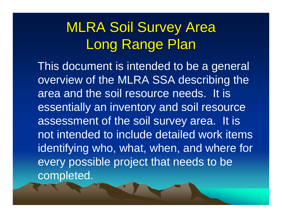## **MLRA Soil Survey Area** Long Range Plan

This document is intended to be a general overview of the MLRA SSA describing the area and the soil resource needs. It is essentially an inventory and soil resource assessment of the soil survey area. It is not intended to include detailed work items identifying who, what, when, and where for every possible project that needs to be completed.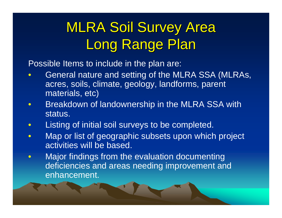## **MLRA Soil Survey Area** Long Range Plan

Possible Items to include in the plan are:

- $\bullet$  General nature and setting of the MLRA SSA (MLRAs, acres, soils, climate, geology, landforms, parent materials, etc)
- $\bullet$ Breakdown of landownership in the MLRA SSA with status.
- $\bullet$ Listing of initial soil surveys to be completed.
- $\bullet$  Map or list of geographic subsets upon which project activities will be based.
- $\bullet$  Major findings from the evaluation documenting deficiencies and areas needing improvement and enhancement.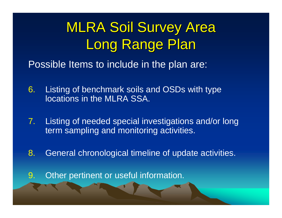## **MLRA Soil Survey Area** Long Range Plan

Possible Items to include in the plan are:

- 6. Listing of benchmark soils and OSDs with type locations in the MLRA SSA.
- 7. Listing of needed special investigations and/or long term sampling and monitoring activities.
- 8. General chronological timeline of update activities.
- 9. Other pertinent or useful information.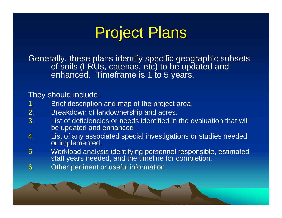# **Project Plans**

Generally, these plans identify specific geographic subsets of soils (LRUs, catenas, etc) to be updated and enhanced. Timeframe is 1 to 5 years.

#### They should include:

- 1.Brief description and map of the project area.
- 2.Breakdown of landownership and acres.
- 3. List of deficiencies or needs identified in the evaluation that will be updated and enhanced
- 4. List of any associated special investigations or studies needed or implemented.
- 5. Workload analysis identifying personnel responsible, estimated staff years needed, and the timeline for completion.
- 6. Other pertinent or useful information.